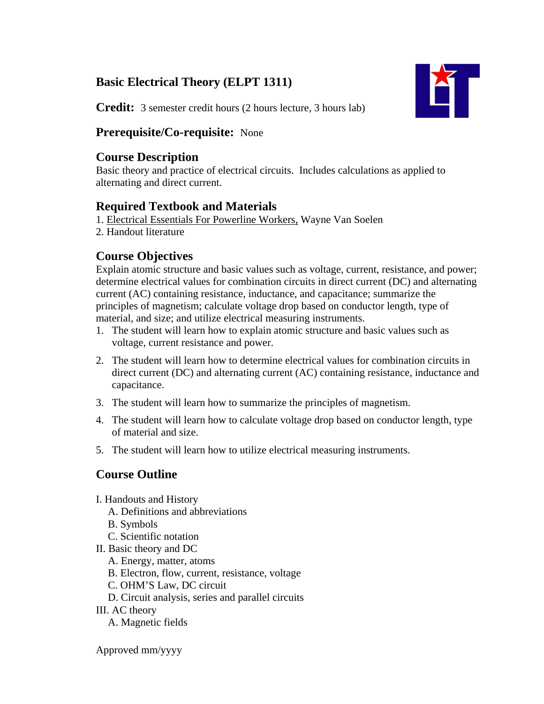# **Basic Electrical Theory (ELPT 1311)**



**Credit:** 3 semester credit hours (2 hours lecture, 3 hours lab)

## **Prerequisite/Co-requisite:** None

## **Course Description**

Basic theory and practice of electrical circuits. Includes calculations as applied to alternating and direct current.

# **Required Textbook and Materials**

- 1. Electrical Essentials For Powerline Workers, Wayne Van Soelen
- 2. Handout literature

# **Course Objectives**

Explain atomic structure and basic values such as voltage, current, resistance, and power; determine electrical values for combination circuits in direct current (DC) and alternating current (AC) containing resistance, inductance, and capacitance; summarize the principles of magnetism; calculate voltage drop based on conductor length, type of material, and size; and utilize electrical measuring instruments.

- 1. The student will learn how to explain atomic structure and basic values such as voltage, current resistance and power.
- 2. The student will learn how to determine electrical values for combination circuits in direct current (DC) and alternating current (AC) containing resistance, inductance and capacitance.
- 3. The student will learn how to summarize the principles of magnetism.
- 4. The student will learn how to calculate voltage drop based on conductor length, type of material and size.
- 5. The student will learn how to utilize electrical measuring instruments.

# **Course Outline**

- I. Handouts and History
	- A. Definitions and abbreviations
	- B. Symbols
	- C. Scientific notation
- II. Basic theory and DC
	- A. Energy, matter, atoms
	- B. Electron, flow, current, resistance, voltage
	- C. OHM'S Law, DC circuit
	- D. Circuit analysis, series and parallel circuits
- III. AC theory

A. Magnetic fields

Approved mm/yyyy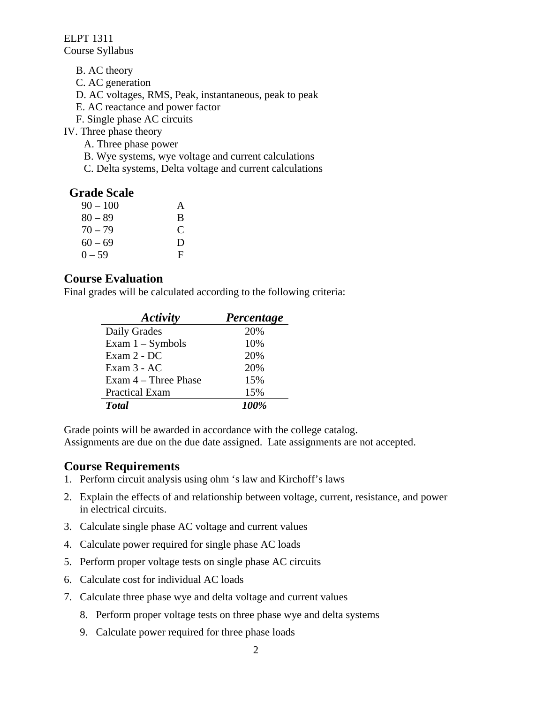- B. AC theory
- C. AC generation
- D. AC voltages, RMS, Peak, instantaneous, peak to peak
- E. AC reactance and power factor
- F. Single phase AC circuits
- IV. Three phase theory
	- A. Three phase power
	- B. Wye systems, wye voltage and current calculations
	- C. Delta systems, Delta voltage and current calculations

## **Grade Scale**

| $90 - 100$ | A |
|------------|---|
| $80 - 89$  | B |
| $70 - 79$  | C |
| $60 - 69$  | D |
| $0 - 59$   | F |

#### **Course Evaluation**

Final grades will be calculated according to the following criteria:

| <b>Activity</b>        | Percentage |
|------------------------|------------|
| Daily Grades           | 20%        |
| Exam $1 -$ Symbols     | 10%        |
| $Exam 2 - DC$          | 20%        |
| Exam $3 - AC$          | 20%        |
| Exam $4$ – Three Phase | 15%        |
| <b>Practical Exam</b>  | 15%        |
| <b>T</b> otal          | 100%       |

Grade points will be awarded in accordance with the college catalog. Assignments are due on the due date assigned. Late assignments are not accepted.

#### **Course Requirements**

- 1. Perform circuit analysis using ohm 's law and Kirchoff's laws
- 2. Explain the effects of and relationship between voltage, current, resistance, and power in electrical circuits.
- 3. Calculate single phase AC voltage and current values
- 4. Calculate power required for single phase AC loads
- 5. Perform proper voltage tests on single phase AC circuits
- 6. Calculate cost for individual AC loads
- 7. Calculate three phase wye and delta voltage and current values
	- 8. Perform proper voltage tests on three phase wye and delta systems
	- 9. Calculate power required for three phase loads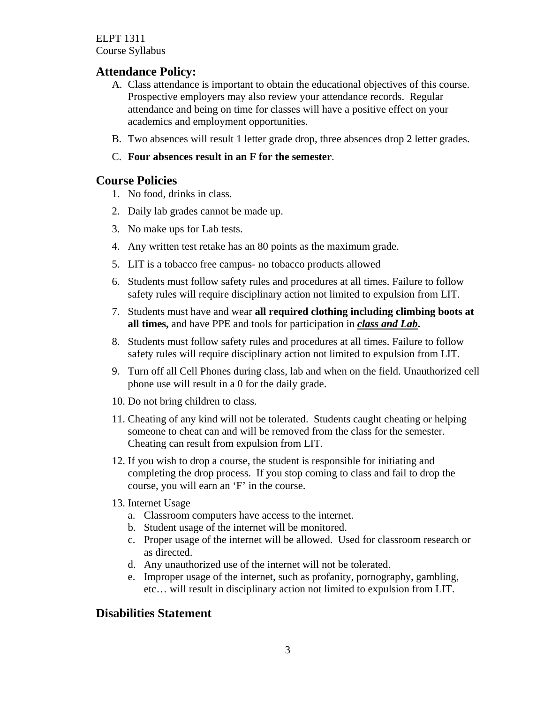## **Attendance Policy:**

- A. Class attendance is important to obtain the educational objectives of this course. Prospective employers may also review your attendance records. Regular attendance and being on time for classes will have a positive effect on your academics and employment opportunities.
- B. Two absences will result 1 letter grade drop, three absences drop 2 letter grades.
- C. **Four absences result in an F for the semester**.

## **Course Policies**

- 1. No food, drinks in class.
- 2. Daily lab grades cannot be made up.
- 3. No make ups for Lab tests.
- 4. Any written test retake has an 80 points as the maximum grade.
- 5. LIT is a tobacco free campus- no tobacco products allowed
- 6. Students must follow safety rules and procedures at all times. Failure to follow safety rules will require disciplinary action not limited to expulsion from LIT.
- 7. Students must have and wear **all required clothing including climbing boots at all times,** and have PPE and tools for participation in *class and Lab***.**
- 8. Students must follow safety rules and procedures at all times. Failure to follow safety rules will require disciplinary action not limited to expulsion from LIT.
- 9. Turn off all Cell Phones during class, lab and when on the field. Unauthorized cell phone use will result in a 0 for the daily grade.
- 10. Do not bring children to class.
- 11. Cheating of any kind will not be tolerated. Students caught cheating or helping someone to cheat can and will be removed from the class for the semester. Cheating can result from expulsion from LIT.
- 12. If you wish to drop a course, the student is responsible for initiating and completing the drop process. If you stop coming to class and fail to drop the course, you will earn an 'F' in the course.
- 13. Internet Usage
	- a. Classroom computers have access to the internet.
	- b. Student usage of the internet will be monitored.
	- c. Proper usage of the internet will be allowed. Used for classroom research or as directed.
	- d. Any unauthorized use of the internet will not be tolerated.
	- e. Improper usage of the internet, such as profanity, pornography, gambling, etc… will result in disciplinary action not limited to expulsion from LIT.

## **Disabilities Statement**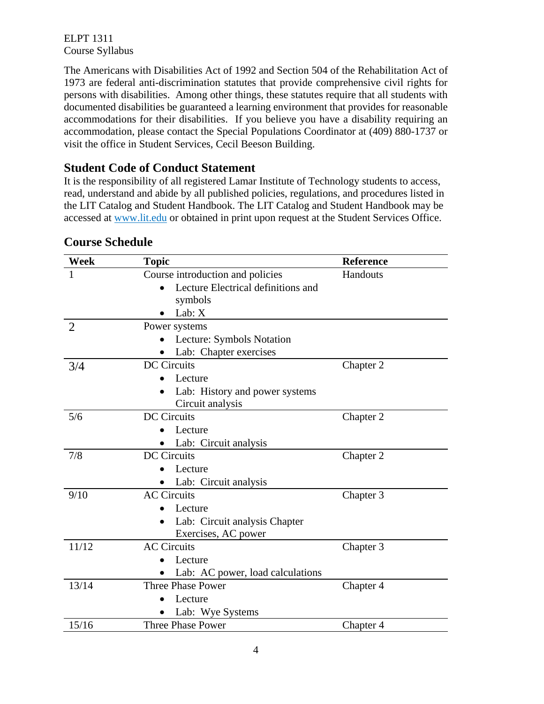The Americans with Disabilities Act of 1992 and Section 504 of the Rehabilitation Act of 1973 are federal anti-discrimination statutes that provide comprehensive civil rights for persons with disabilities. Among other things, these statutes require that all students with documented disabilities be guaranteed a learning environment that provides for reasonable accommodations for their disabilities. If you believe you have a disability requiring an accommodation, please contact the Special Populations Coordinator at (409) 880-1737 or visit the office in Student Services, Cecil Beeson Building.

# **Student Code of Conduct Statement**

It is the responsibility of all registered Lamar Institute of Technology students to access, read, understand and abide by all published policies, regulations, and procedures listed in the LIT Catalog and Student Handbook. The LIT Catalog and Student Handbook may be accessed at www.lit.edu or obtained in print upon request at the Student Services Office.

| Week           | <b>Topic</b>                       | <b>Reference</b> |
|----------------|------------------------------------|------------------|
|                | Course introduction and policies   | Handouts         |
|                | Lecture Electrical definitions and |                  |
|                | symbols                            |                  |
|                | Lab: X                             |                  |
| $\overline{2}$ | Power systems                      |                  |
|                | Lecture: Symbols Notation          |                  |
|                | Lab: Chapter exercises             |                  |
| 3/4            | <b>DC</b> Circuits                 | Chapter 2        |
|                | Lecture                            |                  |
|                | Lab: History and power systems     |                  |
|                | Circuit analysis                   |                  |
| 5/6            | <b>DC</b> Circuits                 | Chapter 2        |
|                | Lecture                            |                  |
|                | Lab: Circuit analysis              |                  |
| 7/8            | DC Circuits                        | Chapter 2        |
|                | Lecture                            |                  |
|                | Lab: Circuit analysis              |                  |
| 9/10           | <b>AC Circuits</b>                 | Chapter 3        |
|                | Lecture                            |                  |
|                | Lab: Circuit analysis Chapter      |                  |
|                | Exercises, AC power                |                  |
| 11/12          | <b>AC Circuits</b>                 | Chapter 3        |
|                | Lecture                            |                  |
|                | Lab: AC power, load calculations   |                  |
| 13/14          | Three Phase Power                  | Chapter 4        |
|                | Lecture                            |                  |
|                | Lab: Wye Systems                   |                  |
| 15/16          | <b>Three Phase Power</b>           | Chapter 4        |

# **Course Schedule**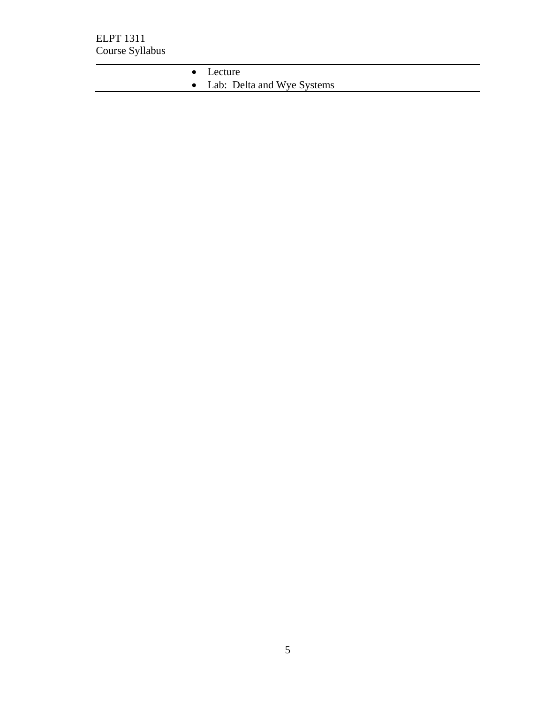- Lecture
- Lab: Delta and Wye Systems